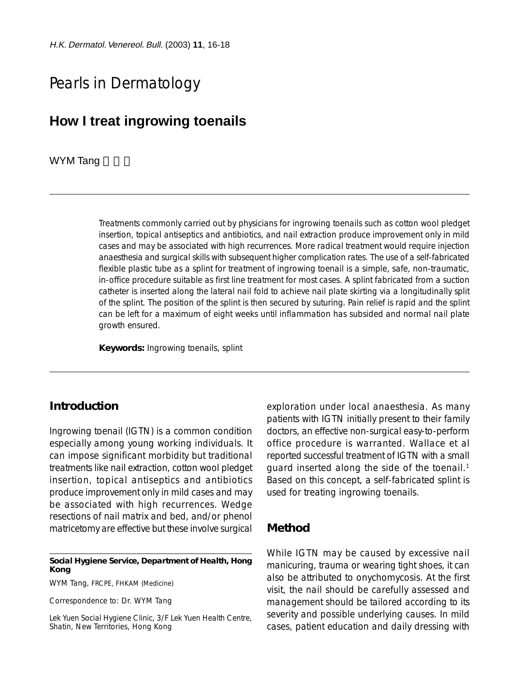# Pearls in Dermatology

# **How I treat ingrowing toenails**

### WYM Tang

Treatments commonly carried out by physicians for ingrowing toenails such as cotton wool pledget insertion, topical antiseptics and antibiotics, and nail extraction produce improvement only in mild cases and may be associated with high recurrences. More radical treatment would require injection anaesthesia and surgical skills with subsequent higher complication rates. The use of a self-fabricated flexible plastic tube as a splint for treatment of ingrowing toenail is a simple, safe, non-traumatic, in-office procedure suitable as first line treatment for most cases. A splint fabricated from a suction catheter is inserted along the lateral nail fold to achieve nail plate skirting via a longitudinally split of the splint. The position of the splint is then secured by suturing. Pain relief is rapid and the splint can be left for a maximum of eight weeks until inflammation has subsided and normal nail plate growth ensured.

**Keywords:** Ingrowing toenails, splint

## **Introduction**

Ingrowing toenail (IGTN) is a common condition especially among young working individuals. It can impose significant morbidity but traditional treatments like nail extraction, cotton wool pledget insertion, topical antiseptics and antibiotics produce improvement only in mild cases and may be associated with high recurrences. Wedge resections of nail matrix and bed, and/or phenol matricetomy are effective but these involve surgical

#### **Social Hygiene Service, Department of Health, Hong Kong**

WYM Tang, FRCPE, FHKAM (Medicine)

Correspondence to: Dr. WYM Tang

Lek Yuen Social Hygiene Clinic, 3/F Lek Yuen Health Centre, Shatin, New Territories, Hong Kong

exploration under local anaesthesia. As many patients with IGTN initially present to their family doctors, an effective non-surgical easy-to-perform office procedure is warranted. Wallace et al reported successful treatment of IGTN with a small guard inserted along the side of the toenail.<sup>1</sup> Based on this concept, a self-fabricated splint is used for treating ingrowing toenails.

## **Method**

While IGTN may be caused by excessive nail manicuring, trauma or wearing tight shoes, it can also be attributed to onychomycosis. At the first visit, the nail should be carefully assessed and management should be tailored according to its severity and possible underlying causes. In mild cases, patient education and daily dressing with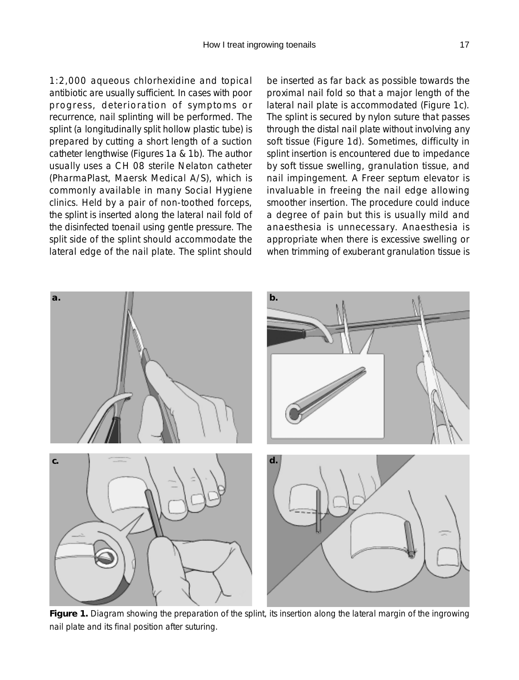1:2,000 aqueous chlorhexidine and topical antibiotic are usually sufficient. In cases with poor progress, deterioration of symptoms or recurrence, nail splinting will be performed. The splint (a longitudinally split hollow plastic tube) is prepared by cutting a short length of a suction catheter lengthwise (Figures 1a & 1b). The author usually uses a CH 08 sterile Nelaton catheter (PharmaPlast, Maersk Medical A/S), which is commonly available in many Social Hygiene clinics. Held by a pair of non-toothed forceps, the splint is inserted along the lateral nail fold of the disinfected toenail using gentle pressure. The split side of the splint should accommodate the lateral edge of the nail plate. The splint should be inserted as far back as possible towards the proximal nail fold so that a major length of the lateral nail plate is accommodated (Figure 1c). The splint is secured by nylon suture that passes through the distal nail plate without involving any soft tissue (Figure 1d). Sometimes, difficulty in splint insertion is encountered due to impedance by soft tissue swelling, granulation tissue, and nail impingement. A Freer septum elevator is invaluable in freeing the nail edge allowing smoother insertion. The procedure could induce a degree of pain but this is usually mild and anaesthesia is unnecessary. Anaesthesia is appropriate when there is excessive swelling or when trimming of exuberant granulation tissue is



**Figure 1.** Diagram showing the preparation of the splint, its insertion along the lateral margin of the ingrowing nail plate and its final position after suturing.